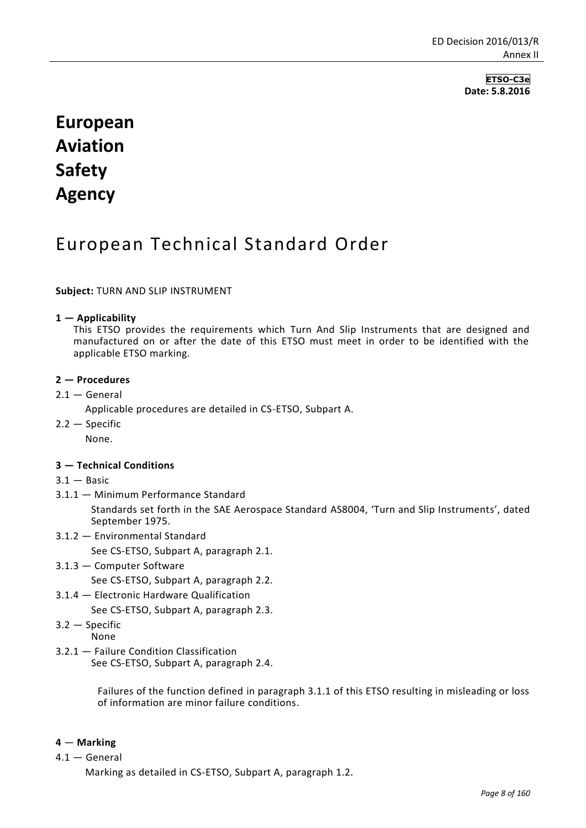**ETSO-C3e Date: 5.8.2016**

# **European Aviation Safety Agency**

# European Technical Standard Order

## **Subject:** TURN AND SLIP INSTRUMENT

#### **1 — Applicability**

This ETSO provides the requirements which Turn And Slip Instruments that are designed and manufactured on or after the date of this ETSO must meet in order to be identified with the applicable ETSO marking.

#### **2 — Procedures**

- $2.1 -$  General
	- Applicable procedures are detailed in CS-ETSO, Subpart A.
- 2.2 Specific None.

#### **3 — Technical Conditions**

- $3.1 -$ Basic
- 3.1.1 Minimum Performance Standard

Standards set forth in the SAE Aerospace Standard AS8004, 'Turn and Slip Instruments', dated September 1975.

3.1.2 — Environmental Standard

See CS-ETSO, Subpart A, paragraph 2.1.

3.1.3 — Computer Software

See CS-ETSO, Subpart A, paragraph 2.2.

3.1.4 — Electronic Hardware Qualification

See CS-ETSO, Subpart A, paragraph 2.3.

- 3.2 Specific
	- None
- 3.2.1 Failure Condition Classification

See CS-ETSO, Subpart A, paragraph 2.4.

Failures of the function defined in paragraph 3.1.1 of this ETSO resulting in misleading or loss of information are minor failure conditions.

#### **4** — **Marking**

4.1 — General

Marking as detailed in CS-ETSO, Subpart A, paragraph 1.2.